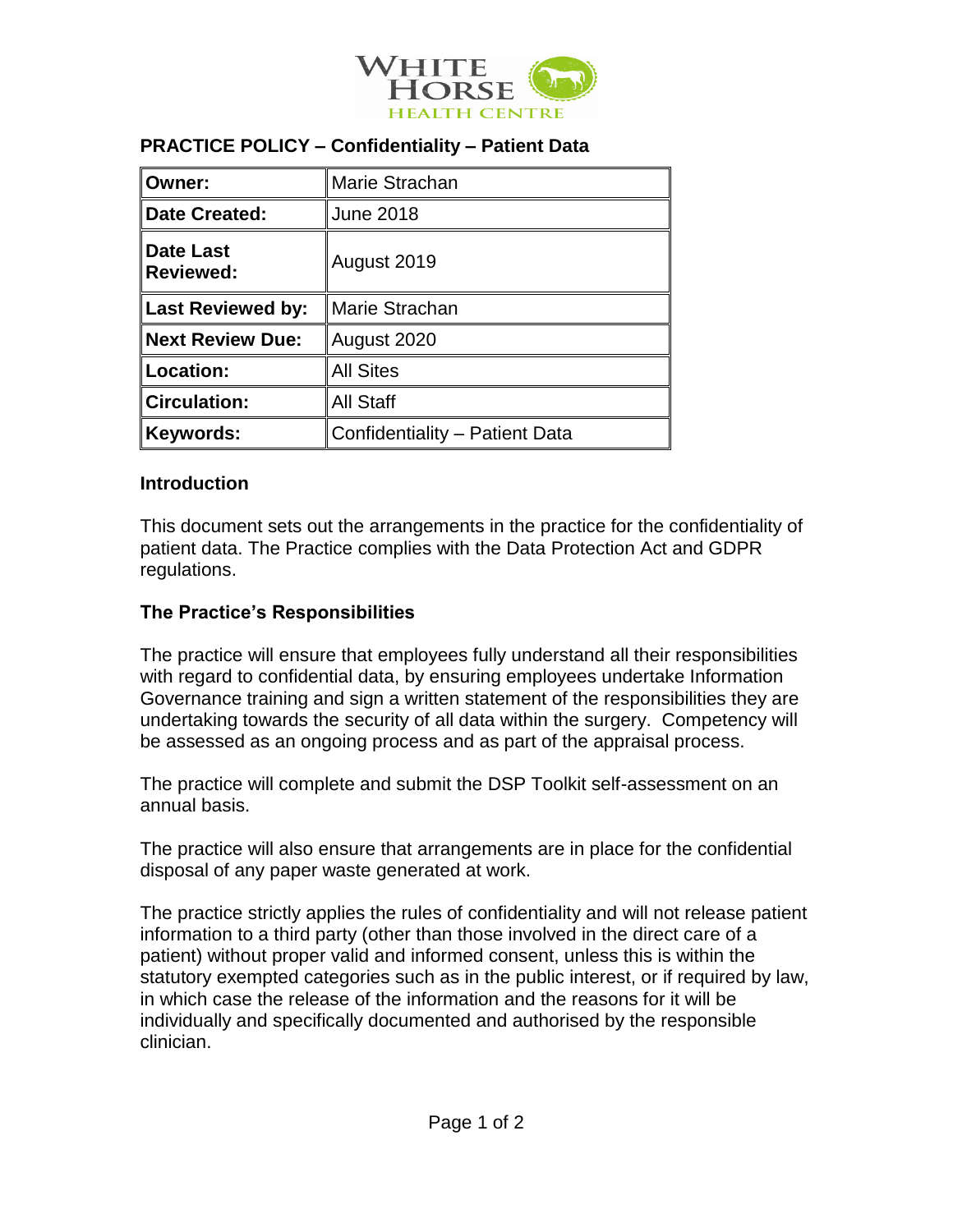

#### **PRACTICE POLICY – Confidentiality – Patient Data**

| Owner:                        | Marie Strachan                 |
|-------------------------------|--------------------------------|
| Date Created:                 | <b>June 2018</b>               |
| Date Last<br><b>Reviewed:</b> | August 2019                    |
| Last Reviewed by:             | Marie Strachan                 |
| <b>Next Review Due:</b>       | August 2020                    |
| Location:                     | <b>All Sites</b>               |
| <b>Circulation:</b>           | <b>All Staff</b>               |
| <b>Keywords:</b>              | Confidentiality - Patient Data |

#### **Introduction**

This document sets out the arrangements in the practice for the confidentiality of patient data. The Practice complies with the Data Protection Act and GDPR regulations.

#### **The Practice's Responsibilities**

The practice will ensure that employees fully understand all their responsibilities with regard to confidential data, by ensuring employees undertake Information Governance training and sign a written statement of the responsibilities they are undertaking towards the security of all data within the surgery. Competency will be assessed as an ongoing process and as part of the appraisal process.

The practice will complete and submit the DSP Toolkit self-assessment on an annual basis.

The practice will also ensure that arrangements are in place for the confidential disposal of any paper waste generated at work.

The practice strictly applies the rules of confidentiality and will not release patient information to a third party (other than those involved in the direct care of a patient) without proper valid and informed consent, unless this is within the statutory exempted categories such as in the public interest, or if required by law, in which case the release of the information and the reasons for it will be individually and specifically documented and authorised by the responsible clinician.